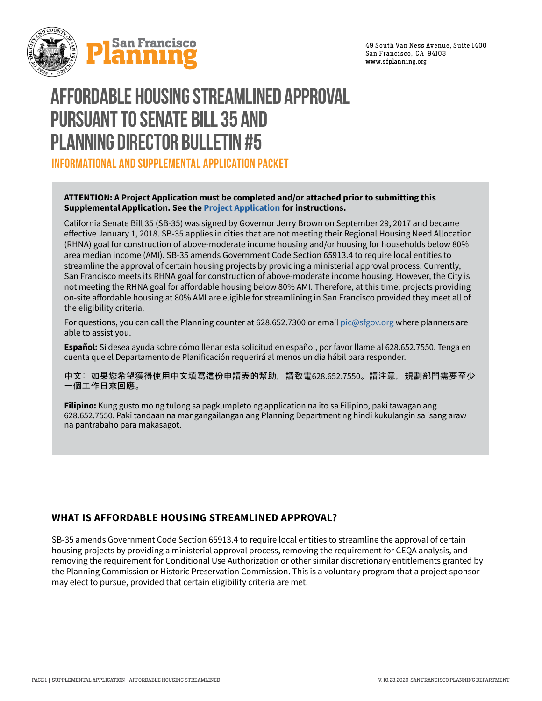

# **AFFORDABLE HOUSING STREAMLINED APPROVAL PURSUANT TO SENATE BILL 35 AND PLANNING DIRECTOR BULLETIN #5**

**INFORMATIONAL AND SUPPLEMENTAL APPLICATION PACKET**

## **ATTENTION: A Project Application must be completed and/or attached prior to submitting this Supplemental Application. See the [Project Application](https://sfplanning.org/resource/prj-application) for instructions.**

California Senate Bill 35 (SB-35) was signed by Governor Jerry Brown on September 29, 2017 and became effective January 1, 2018. SB-35 applies in cities that are not meeting their Regional Housing Need Allocation (RHNA) goal for construction of above-moderate income housing and/or housing for households below 80% area median income (AMI). SB-35 amends Government Code Section 65913.4 to require local entities to streamline the approval of certain housing projects by providing a ministerial approval process. Currently, San Francisco meets its RHNA goal for construction of above-moderate income housing. However, the City is not meeting the RHNA goal for affordable housing below 80% AMI. Therefore, at this time, projects providing on-site affordable housing at 80% AMI are eligible for streamlining in San Francisco provided they meet all of the eligibility criteria.

For questions, you can call the Planning counter at 628.652.7300 or email [pic@sfgov.org](mailto:pic%40sfgov.org?subject=) where planners are able to assist you.

**Español:** Si desea ayuda sobre cómo llenar esta solicitud en español, por favor llame al 628.652.7550. Tenga en cuenta que el Departamento de Planificación requerirá al menos un día hábil para responder.

中文: 如果您希望獲得使用中文填寫這份申請表的幫助,請致電628.652.7550。請注意,規劃部門需要至少 一個工作日來回應。

**Filipino:** Kung gusto mo ng tulong sa pagkumpleto ng application na ito sa Filipino, paki tawagan ang 628.652.7550. Paki tandaan na mangangailangan ang Planning Department ng hindi kukulangin sa isang araw na pantrabaho para makasagot.

# **WHAT IS AFFORDABLE HOUSING STREAMLINED APPROVAL?**

SB-35 amends Government Code Section 65913.4 to require local entities to streamline the approval of certain housing projects by providing a ministerial approval process, removing the requirement for CEQA analysis, and removing the requirement for Conditional Use Authorization or other similar discretionary entitlements granted by the Planning Commission or Historic Preservation Commission. This is a voluntary program that a project sponsor may elect to pursue, provided that certain eligibility criteria are met.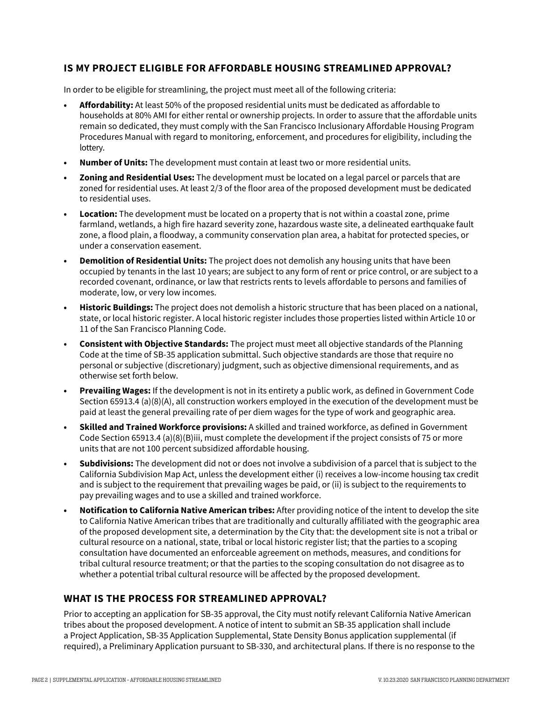# **IS MY PROJECT ELIGIBLE FOR AFFORDABLE HOUSING STREAMLINED APPROVAL?**

In order to be eligible for streamlining, the project must meet all of the following criteria:

- **• Affordability:** At least 50% of the proposed residential units must be dedicated as affordable to households at 80% AMI for either rental or ownership projects. In order to assure that the affordable units remain so dedicated, they must comply with the San Francisco Inclusionary Affordable Housing Program Procedures Manual with regard to monitoring, enforcement, and procedures for eligibility, including the lottery.
- **Number of Units:** The development must contain at least two or more residential units.
- **Zoning and Residential Uses:** The development must be located on a legal parcel or parcels that are zoned for residential uses. At least 2/3 of the floor area of the proposed development must be dedicated to residential uses.
- **Location:** The development must be located on a property that is not within a coastal zone, prime farmland, wetlands, a high fire hazard severity zone, hazardous waste site, a delineated earthquake fault zone, a flood plain, a floodway, a community conservation plan area, a habitat for protected species, or under a conservation easement.
- **Demolition of Residential Units:** The project does not demolish any housing units that have been occupied by tenants in the last 10 years; are subject to any form of rent or price control, or are subject to a recorded covenant, ordinance, or law that restricts rents to levels affordable to persons and families of moderate, low, or very low incomes.
- **Historic Buildings:** The project does not demolish a historic structure that has been placed on a national, state, or local historic register. A local historic register includes those properties listed within Article 10 or 11 of the San Francisco Planning Code.
- **Consistent with Objective Standards:** The project must meet all objective standards of the Planning Code at the time of SB-35 application submittal. Such objective standards are those that require no personal or subjective (discretionary) judgment, such as objective dimensional requirements, and as otherwise set forth below.
- **Prevailing Wages:** If the development is not in its entirety a public work, as defined in Government Code Section 65913.4 (a)(8)(A), all construction workers employed in the execution of the development must be paid at least the general prevailing rate of per diem wages for the type of work and geographic area.
- **Skilled and Trained Workforce provisions:** A skilled and trained workforce, as defined in Government Code Section 65913.4 (a)(8)(B)iii, must complete the development if the project consists of 75 or more units that are not 100 percent subsidized affordable housing.
- **Subdivisions:** The development did not or does not involve a subdivision of a parcel that is subject to the California Subdivision Map Act, unless the development either (i) receives a low-income housing tax credit and is subject to the requirement that prevailing wages be paid, or (ii) is subject to the requirements to pay prevailing wages and to use a skilled and trained workforce.
- **• Notification to California Native American tribes:** After providing notice of the intent to develop the site to California Native American tribes that are traditionally and culturally affiliated with the geographic area of the proposed development site, a determination by the City that: the development site is not a tribal or cultural resource on a national, state, tribal or local historic register list; that the parties to a scoping consultation have documented an enforceable agreement on methods, measures, and conditions for tribal cultural resource treatment; or that the parties to the scoping consultation do not disagree as to whether a potential tribal cultural resource will be affected by the proposed development.

## **WHAT IS THE PROCESS FOR STREAMLINED APPROVAL?**

Prior to accepting an application for SB-35 approval, the City must notify relevant California Native American tribes about the proposed development. A notice of intent to submit an SB-35 application shall include a Project Application, SB-35 Application Supplemental, State Density Bonus application supplemental (if required), a Preliminary Application pursuant to SB-330, and architectural plans. If there is no response to the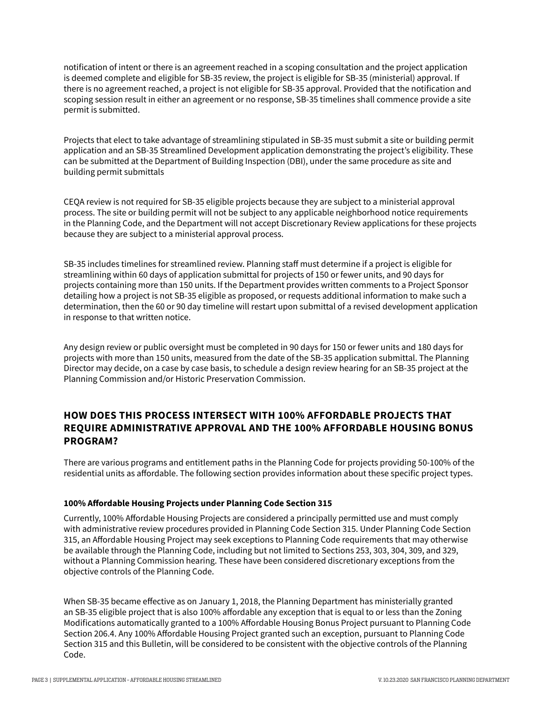notification of intent or there is an agreement reached in a scoping consultation and the project application is deemed complete and eligible for SB-35 review, the project is eligible for SB-35 (ministerial) approval. If there is no agreement reached, a project is not eligible for SB-35 approval. Provided that the notification and scoping session result in either an agreement or no response, SB-35 timelines shall commence provide a site permit is submitted.

Projects that elect to take advantage of streamlining stipulated in SB-35 must submit a site or building permit application and an SB-35 Streamlined Development application demonstrating the project's eligibility. These can be submitted at the Department of Building Inspection (DBI), under the same procedure as site and building permit submittals

CEQA review is not required for SB-35 eligible projects because they are subject to a ministerial approval process. The site or building permit will not be subject to any applicable neighborhood notice requirements in the Planning Code, and the Department will not accept Discretionary Review applications for these projects because they are subject to a ministerial approval process.

SB-35 includes timelines for streamlined review. Planning staff must determine if a project is eligible for streamlining within 60 days of application submittal for projects of 150 or fewer units, and 90 days for projects containing more than 150 units. If the Department provides written comments to a Project Sponsor detailing how a project is not SB-35 eligible as proposed, or requests additional information to make such a determination, then the 60 or 90 day timeline will restart upon submittal of a revised development application in response to that written notice.

Any design review or public oversight must be completed in 90 days for 150 or fewer units and 180 days for projects with more than 150 units, measured from the date of the SB-35 application submittal. The Planning Director may decide, on a case by case basis, to schedule a design review hearing for an SB-35 project at the Planning Commission and/or Historic Preservation Commission.

# **HOW DOES THIS PROCESS INTERSECT WITH 100% AFFORDABLE PROJECTS THAT REQUIRE ADMINISTRATIVE APPROVAL AND THE 100% AFFORDABLE HOUSING BONUS PROGRAM?**

There are various programs and entitlement paths in the Planning Code for projects providing 50-100% of the residential units as affordable. The following section provides information about these specific project types.

## **100% Affordable Housing Projects under Planning Code Section 315**

Currently, 100% Affordable Housing Projects are considered a principally permitted use and must comply with administrative review procedures provided in Planning Code Section 315. Under Planning Code Section 315, an Affordable Housing Project may seek exceptions to Planning Code requirements that may otherwise be available through the Planning Code, including but not limited to Sections 253, 303, 304, 309, and 329, without a Planning Commission hearing. These have been considered discretionary exceptions from the objective controls of the Planning Code.

When SB-35 became effective as on January 1, 2018, the Planning Department has ministerially granted an SB-35 eligible project that is also 100% affordable any exception that is equal to or less than the Zoning Modifications automatically granted to a 100% Affordable Housing Bonus Project pursuant to Planning Code Section 206.4. Any 100% Affordable Housing Project granted such an exception, pursuant to Planning Code Section 315 and this Bulletin, will be considered to be consistent with the objective controls of the Planning Code.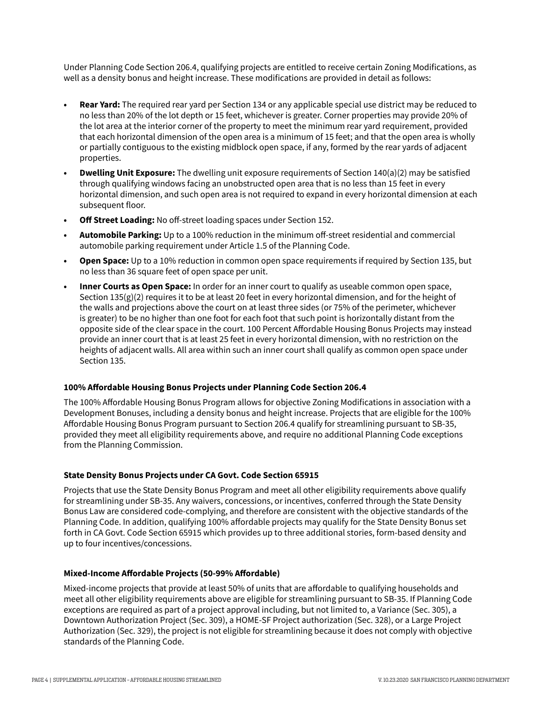Under Planning Code Section 206.4, qualifying projects are entitled to receive certain Zoning Modifications, as well as a density bonus and height increase. These modifications are provided in detail as follows:

- **• Rear Yard:** The required rear yard per Section 134 or any applicable special use district may be reduced to no less than 20% of the lot depth or 15 feet, whichever is greater. Corner properties may provide 20% of the lot area at the interior corner of the property to meet the minimum rear yard requirement, provided that each horizontal dimension of the open area is a minimum of 15 feet; and that the open area is wholly or partially contiguous to the existing midblock open space, if any, formed by the rear yards of adjacent properties.
- **• Dwelling Unit Exposure:** The dwelling unit exposure requirements of Section 140(a)(2) may be satisfied through qualifying windows facing an unobstructed open area that is no less than 15 feet in every horizontal dimension, and such open area is not required to expand in every horizontal dimension at each subsequent floor.
- **• Off Street Loading:** No off-street loading spaces under Section 152.
- **• Automobile Parking:** Up to a 100% reduction in the minimum off-street residential and commercial automobile parking requirement under Article 1.5 of the Planning Code.
- **• Open Space:** Up to a 10% reduction in common open space requirements if required by Section 135, but no less than 36 square feet of open space per unit.
- **• Inner Courts as Open Space:** In order for an inner court to qualify as useable common open space, Section  $135(g)(2)$  requires it to be at least 20 feet in every horizontal dimension, and for the height of the walls and projections above the court on at least three sides (or 75% of the perimeter, whichever is greater) to be no higher than one foot for each foot that such point is horizontally distant from the opposite side of the clear space in the court. 100 Percent Affordable Housing Bonus Projects may instead provide an inner court that is at least 25 feet in every horizontal dimension, with no restriction on the heights of adjacent walls. All area within such an inner court shall qualify as common open space under Section 135.

#### **100% Affordable Housing Bonus Projects under Planning Code Section 206.4**

The 100% Affordable Housing Bonus Program allows for objective Zoning Modifications in association with a Development Bonuses, including a density bonus and height increase. Projects that are eligible for the 100% Affordable Housing Bonus Program pursuant to Section 206.4 qualify for streamlining pursuant to SB-35, provided they meet all eligibility requirements above, and require no additional Planning Code exceptions from the Planning Commission.

## **State Density Bonus Projects under CA Govt. Code Section 65915**

Projects that use the State Density Bonus Program and meet all other eligibility requirements above qualify for streamlining under SB-35. Any waivers, concessions, or incentives, conferred through the State Density Bonus Law are considered code-complying, and therefore are consistent with the objective standards of the Planning Code. In addition, qualifying 100% affordable projects may qualify for the State Density Bonus set forth in CA Govt. Code Section 65915 which provides up to three additional stories, form-based density and up to four incentives/concessions.

#### **Mixed-Income Affordable Projects (50-99% Affordable)**

Mixed-income projects that provide at least 50% of units that are affordable to qualifying households and meet all other eligibility requirements above are eligible for streamlining pursuant to SB-35. If Planning Code exceptions are required as part of a project approval including, but not limited to, a Variance (Sec. 305), a Downtown Authorization Project (Sec. 309), a HOME-SF Project authorization (Sec. 328), or a Large Project Authorization (Sec. 329), the project is not eligible for streamlining because it does not comply with objective standards of the Planning Code.